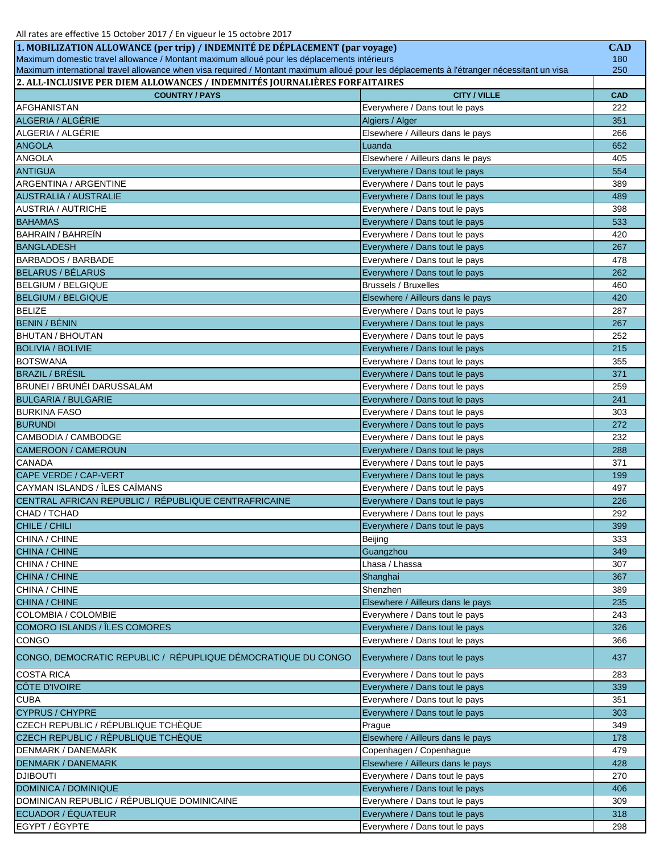| 1. MOBILIZATION ALLOWANCE (per trip) / INDEMNITÉ DE DÉPLACEMENT (par voyage)                                                              |                                   | <b>CAD</b> |
|-------------------------------------------------------------------------------------------------------------------------------------------|-----------------------------------|------------|
| Maximum domestic travel allowance / Montant maximum alloué pour les déplacements intérieurs                                               |                                   |            |
| Maximum international travel allowance when visa required / Montant maximum alloué pour les déplacements à l'étranger nécessitant un visa |                                   | 250        |
| 2. ALL-INCLUSIVE PER DIEM ALLOWANCES / INDEMNITÉS JOURNALIÈRES FORFAITAIRES                                                               |                                   |            |
| <b>COUNTRY / PAYS</b>                                                                                                                     | <b>CITY / VILLE</b>               | <b>CAD</b> |
| <b>AFGHANISTAN</b>                                                                                                                        | Everywhere / Dans tout le pays    | 222        |
| ALGERIA / ALGÉRIE                                                                                                                         | Algiers / Alger                   | 351        |
| ALGERIA / ALGÉRIE                                                                                                                         | Elsewhere / Ailleurs dans le pays | 266        |
| <b>ANGOLA</b>                                                                                                                             | Luanda                            | 652        |
| <b>ANGOLA</b>                                                                                                                             | Elsewhere / Ailleurs dans le pays | 405        |
| <b>ANTIGUA</b>                                                                                                                            | Everywhere / Dans tout le pays    | 554        |
| ARGENTINA / ARGENTINE                                                                                                                     | Everywhere / Dans tout le pays    | 389        |
| <b>AUSTRALIA / AUSTRALIE</b>                                                                                                              | Everywhere / Dans tout le pays    | 489        |
| <b>AUSTRIA / AUTRICHE</b>                                                                                                                 | Everywhere / Dans tout le pays    | 398        |
| <b>BAHAMAS</b>                                                                                                                            | Everywhere / Dans tout le pays    | 533        |
| <b>BAHRAIN / BAHREIN</b>                                                                                                                  | Everywhere / Dans tout le pays    | 420        |
| <b>BANGLADESH</b>                                                                                                                         | Everywhere / Dans tout le pays    | 267        |
| <b>BARBADOS / BARBADE</b>                                                                                                                 | Everywhere / Dans tout le pays    | 478        |
| <b>BELARUS / BÉLARUS</b>                                                                                                                  | Everywhere / Dans tout le pays    | 262        |
| <b>BELGIUM / BELGIQUE</b>                                                                                                                 | <b>Brussels / Bruxelles</b>       | 460        |
| <b>BELGIUM / BELGIQUE</b>                                                                                                                 | Elsewhere / Ailleurs dans le pays | 420        |
| <b>BELIZE</b>                                                                                                                             | Everywhere / Dans tout le pays    | 287        |
| <b>BENIN / BÉNIN</b>                                                                                                                      | Everywhere / Dans tout le pays    | 267        |
| <b>BHUTAN / BHOUTAN</b>                                                                                                                   | Everywhere / Dans tout le pays    | 252        |
| <b>BOLIVIA / BOLIVIE</b>                                                                                                                  | Everywhere / Dans tout le pays    | 215        |
| <b>BOTSWANA</b>                                                                                                                           | Everywhere / Dans tout le pays    | 355        |
| <b>BRAZIL / BRÉSIL</b>                                                                                                                    | Everywhere / Dans tout le pays    | 371        |
| BRUNEI / BRUNĖI DARUSSALAM                                                                                                                | Everywhere / Dans tout le pays    | 259        |
| <b>BULGARIA / BULGARIE</b>                                                                                                                | Everywhere / Dans tout le pays    | 241        |
| <b>BURKINA FASO</b>                                                                                                                       | Everywhere / Dans tout le pays    | 303        |
| <b>BURUNDI</b>                                                                                                                            | Everywhere / Dans tout le pays    | 272        |
| CAMBODIA / CAMBODGE                                                                                                                       | Everywhere / Dans tout le pays    | 232        |
| CAMEROON / CAMEROUN                                                                                                                       | Everywhere / Dans tout le pays    | 288        |
| <b>CANADA</b>                                                                                                                             | Everywhere / Dans tout le pays    | 371        |
| CAPE VERDE / CAP-VERT                                                                                                                     | Everywhere / Dans tout le pays    | 199        |
| CAYMAN ISLANDS / ÎLES CAÏMANS                                                                                                             | Everywhere / Dans tout le pays    | 497        |
| CENTRAL AFRICAN REPUBLIC / RÉPUBLIQUE CENTRAFRICAINE                                                                                      | Everywhere / Dans tout le pays    | 226        |
| CHAD / TCHAD                                                                                                                              | Everywhere / Dans tout le pays    | 292        |
| CHILE / CHILI                                                                                                                             | Everywhere / Dans tout le pays    | 399        |
| CHINA / CHINE                                                                                                                             | Beijing                           | 333        |
| CHINA / CHINE                                                                                                                             | Guangzhou                         | 349        |
| CHINA / CHINE                                                                                                                             | Lhasa / Lhassa                    | 307        |
| CHINA / CHINE                                                                                                                             | Shanghai                          | 367        |
| CHINA / CHINE<br>CHINA / CHINE                                                                                                            | Shenzhen                          | 389        |
| COLOMBIA / COLOMBIE                                                                                                                       | Elsewhere / Ailleurs dans le pays | 235        |
| COMORO ISLANDS / ÎLES COMORES                                                                                                             | Everywhere / Dans tout le pays    | 243        |
|                                                                                                                                           | Everywhere / Dans tout le pays    | 326        |
| CONGO                                                                                                                                     | Everywhere / Dans tout le pays    | 366        |
| CONGO, DEMOCRATIC REPUBLIC / RÉPUPLIQUE DÉMOCRATIQUE DU CONGO                                                                             | Everywhere / Dans tout le pays    | 437        |
| <b>COSTA RICA</b>                                                                                                                         | Everywhere / Dans tout le pays    | 283        |
| <b>CÔTE D'IVOIRE</b>                                                                                                                      | Everywhere / Dans tout le pays    | 339        |
| <b>CUBA</b>                                                                                                                               | Everywhere / Dans tout le pays    | 351        |
| <b>CYPRUS / CHYPRE</b>                                                                                                                    | Everywhere / Dans tout le pays    | 303        |
| CZECH REPUBLIC / RÉPUBLIQUE TCHÈQUE                                                                                                       | Prague                            | 349        |
| CZECH REPUBLIC / RÉPUBLIQUE TCHÈQUE                                                                                                       | Elsewhere / Ailleurs dans le pays | 178        |
| <b>DENMARK / DANEMARK</b>                                                                                                                 | Copenhagen / Copenhague           | 479        |
| <b>DENMARK / DANEMARK</b>                                                                                                                 | Elsewhere / Ailleurs dans le pays | 428        |
| <b>DJIBOUTI</b>                                                                                                                           | Everywhere / Dans tout le pays    | 270        |
| DOMINICA / DOMINIQUE                                                                                                                      | Everywhere / Dans tout le pays    | 406        |
| DOMINICAN REPUBLIC / RÉPUBLIQUE DOMINICAINE                                                                                               | Everywhere / Dans tout le pays    | 309        |
| ECUADOR / ÉQUATEUR                                                                                                                        | Everywhere / Dans tout le pays    | 318        |
| EGYPT / ÉGYPTE                                                                                                                            | Everywhere / Dans tout le pays    | 298        |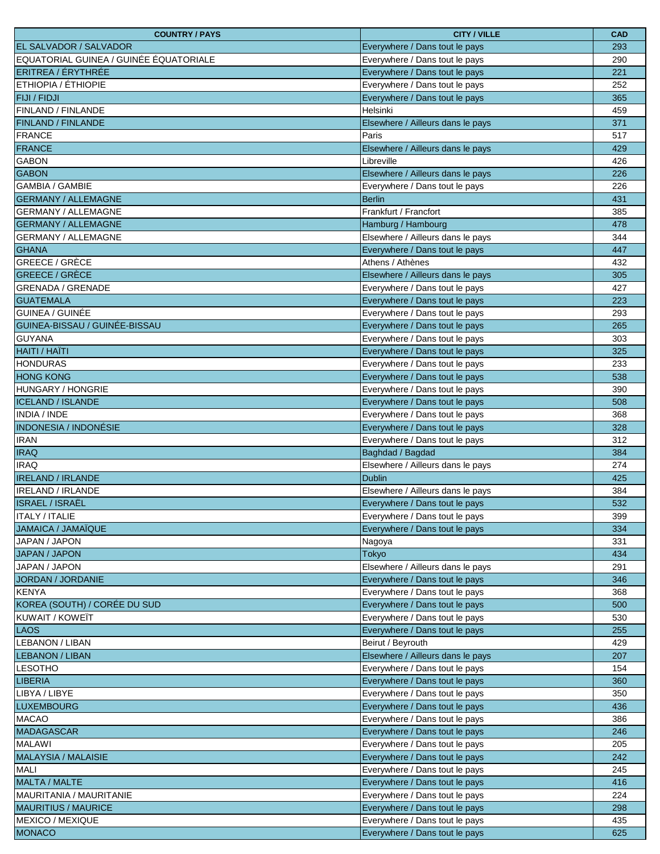| <b>COUNTRY / PAYS</b>                  | <b>CITY / VILLE</b>               | <b>CAD</b> |
|----------------------------------------|-----------------------------------|------------|
| EL SALVADOR / SALVADOR                 | Everywhere / Dans tout le pays    | 293        |
| EQUATORIAL GUINEA / GUINÉE ÉQUATORIALE | Everywhere / Dans tout le pays    | 290        |
| ERITREA / ÉRYTHRÉE                     | Everywhere / Dans tout le pays    | 221        |
| ETHIOPIA / ÉTHIOPIE                    | Everywhere / Dans tout le pays    | 252        |
| <b>FIJI / FIDJI</b>                    | Everywhere / Dans tout le pays    | 365        |
| FINLAND / FINLANDE                     | Helsinki                          | 459        |
| <b>FINLAND / FINLANDE</b>              | Elsewhere / Ailleurs dans le pays | 371        |
| FRANCE                                 | Paris                             | 517        |
| <b>FRANCE</b>                          | Elsewhere / Ailleurs dans le pays | 429        |
| <b>GABON</b>                           | Libreville                        | 426        |
| <b>GABON</b>                           | Elsewhere / Ailleurs dans le pays | 226        |
| <b>GAMBIA / GAMBIE</b>                 | Everywhere / Dans tout le pays    | 226        |
| <b>GERMANY / ALLEMAGNE</b>             | <b>Berlin</b>                     | 431        |
| <b>GERMANY / ALLEMAGNE</b>             | Frankfurt / Francfort             | 385        |
| <b>GERMANY / ALLEMAGNE</b>             | Hamburg / Hambourg                | 478        |
| <b>GERMANY / ALLEMAGNE</b>             | Elsewhere / Ailleurs dans le pays | 344        |
| <b>GHANA</b>                           | Everywhere / Dans tout le pays    | 447        |
| <b>GREECE / GRÈCE</b>                  | Athens / Athènes                  | 432        |
| <b>GREECE / GRÈCE</b>                  | Elsewhere / Ailleurs dans le pays | 305        |
| <b>GRENADA / GRENADE</b>               | Everywhere / Dans tout le pays    | 427        |
| <b>GUATEMALA</b>                       | Everywhere / Dans tout le pays    | 223        |
| GUINEA / GUINÉE                        | Everywhere / Dans tout le pays    | 293        |
| GUINEA-BISSAU / GUINÉE-BISSAU          | Everywhere / Dans tout le pays    | 265        |
| <b>GUYANA</b>                          | Everywhere / Dans tout le pays    | 303        |
| <b>HAITI / HAÏTI</b>                   | Everywhere / Dans tout le pays    | 325        |
| <b>HONDURAS</b>                        | Everywhere / Dans tout le pays    | 233        |
| <b>HONG KONG</b>                       | Everywhere / Dans tout le pays    | 538        |
| HUNGARY / HONGRIE                      | Everywhere / Dans tout le pays    | 390        |
| <b>ICELAND / ISLANDE</b>               | Everywhere / Dans tout le pays    | 508        |
| INDIA / INDE                           | Everywhere / Dans tout le pays    | 368        |
| <b>INDONESIA / INDONÉSIE</b>           | Everywhere / Dans tout le pays    | 328        |
| <b>IRAN</b>                            | Everywhere / Dans tout le pays    | 312        |
| <b>IRAQ</b>                            | Baghdad / Bagdad                  | 384        |
| <b>IRAQ</b>                            | Elsewhere / Ailleurs dans le pays | 274        |
| <b>IRELAND / IRLANDE</b>               | <b>Dublin</b>                     | 425        |
| <b>IRELAND / IRLANDE</b>               | Elsewhere / Ailleurs dans le pays | 384        |
| <b>ISRAEL / ISRAËL</b>                 | Everywhere / Dans tout le pays    | 532        |
| <b>ITALY / ITALIE</b>                  | Everywhere / Dans tout le pays    | 399        |
| JAMAICA / JAMAÏQUE                     | Everywhere / Dans tout le pays    | 334        |
| JAPAN / JAPON                          | Nagoya                            | 331        |
| <b>JAPAN / JAPON</b>                   | Tokyo                             | 434        |
| JAPAN / JAPON                          | Elsewhere / Ailleurs dans le pays | 291        |
| JORDAN / JORDANIE                      | Everywhere / Dans tout le pays    | 346        |
| <b>KENYA</b>                           | Everywhere / Dans tout le pays    | 368        |
| KOREA (SOUTH) / CORÉE DU SUD           | Everywhere / Dans tout le pays    | 500        |
| KUWAIT / KOWEÏT                        | Everywhere / Dans tout le pays    | 530        |
| <b>LAOS</b>                            | Everywhere / Dans tout le pays    | 255        |
| <b>LEBANON / LIBAN</b>                 | Beirut / Beyrouth                 | 429        |
| <b>LEBANON / LIBAN</b>                 | Elsewhere / Ailleurs dans le pays | 207        |
| <b>LESOTHO</b>                         | Everywhere / Dans tout le pays    | 154        |
| <b>LIBERIA</b>                         | Everywhere / Dans tout le pays    | 360        |
| LIBYA / LIBYE                          | Everywhere / Dans tout le pays    | 350        |
| <b>LUXEMBOURG</b>                      | Everywhere / Dans tout le pays    | 436        |
| <b>MACAO</b>                           | Everywhere / Dans tout le pays    | 386        |
| <b>MADAGASCAR</b>                      | Everywhere / Dans tout le pays    | 246        |
| <b>MALAWI</b>                          | Everywhere / Dans tout le pays    | 205        |
| <b>MALAYSIA / MALAISIE</b>             | Everywhere / Dans tout le pays    | 242        |
| MALI                                   | Everywhere / Dans tout le pays    | 245        |
| <b>MALTA / MALTE</b>                   | Everywhere / Dans tout le pays    | 416        |
| MAURITANIA / MAURITANIE                | Everywhere / Dans tout le pays    | 224        |
| <b>MAURITIUS / MAURICE</b>             | Everywhere / Dans tout le pays    | 298        |
| MEXICO / MEXIQUE                       | Everywhere / Dans tout le pays    | 435        |
| <b>MONACO</b>                          | Everywhere / Dans tout le pays    | 625        |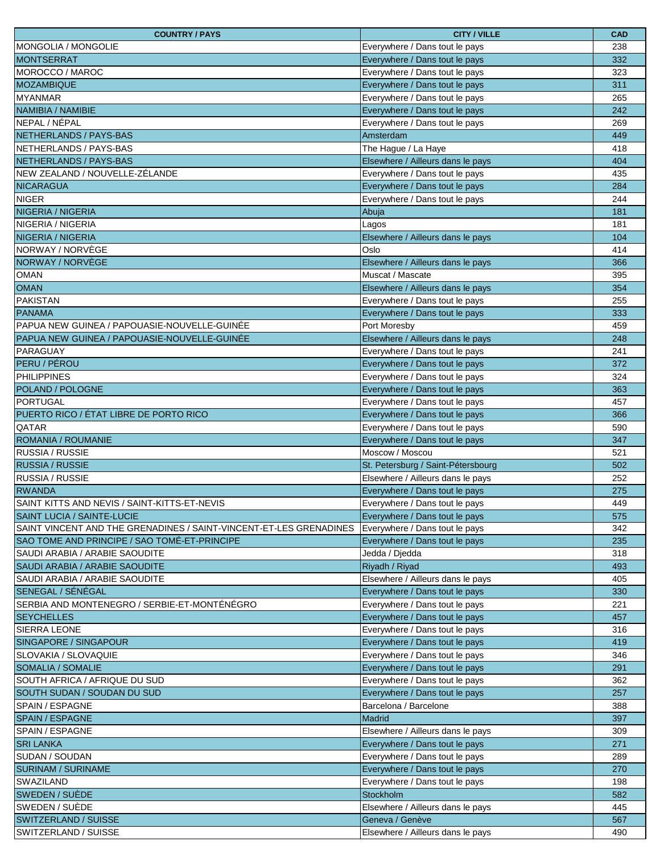| <b>COUNTRY / PAYS</b>                                              | <b>CITY / VILLE</b>                | <b>CAD</b> |
|--------------------------------------------------------------------|------------------------------------|------------|
| IMONGOLIA / MONGOLIE                                               | Everywhere / Dans tout le pays     | 238        |
| <b>MONTSERRAT</b>                                                  | Everywhere / Dans tout le pays     | 332        |
| MOROCCO / MAROC                                                    | Everywhere / Dans tout le pays     | 323        |
| <b>MOZAMBIQUE</b>                                                  | Everywhere / Dans tout le pays     | 311        |
| <b>MYANMAR</b>                                                     | Everywhere / Dans tout le pays     | 265        |
| NAMIBIA / NAMIBIE                                                  | Everywhere / Dans tout le pays     | 242        |
| NEPAL / NÉPAL                                                      | Everywhere / Dans tout le pays     | 269        |
| NETHERLANDS / PAYS-BAS                                             | Amsterdam                          | 449        |
| NETHERLANDS / PAYS-BAS                                             | The Hague / La Haye                | 418        |
| NETHERLANDS / PAYS-BAS                                             | Elsewhere / Ailleurs dans le pays  | 404        |
| lNEW ZEALAND / NOUVELLE-ZÉLANDE                                    | Everywhere / Dans tout le pays     | 435        |
| <b>NICARAGUA</b>                                                   | Everywhere / Dans tout le pays     | 284        |
| <b>NIGER</b>                                                       | Everywhere / Dans tout le pays     | 244        |
| NIGERIA / NIGERIA                                                  | Abuja                              | 181        |
| NIGERIA / NIGERIA                                                  | Lagos                              | 181        |
| <b>NIGERIA / NIGERIA</b>                                           | Elsewhere / Ailleurs dans le pays  | 104        |
| NORWAY / NORVÈGE                                                   | Oslo                               | 414        |
| NORWAY / NORVÈGE                                                   | Elsewhere / Ailleurs dans le pays  | 366        |
| <b>OMAN</b>                                                        | Muscat / Mascate                   | 395        |
| <b>OMAN</b>                                                        | Elsewhere / Ailleurs dans le pays  | 354        |
| PAKISTAN                                                           | Everywhere / Dans tout le pays     | 255        |
| <b>PANAMA</b>                                                      | Everywhere / Dans tout le pays     | 333        |
| PAPUA NEW GUINEA / PAPOUASIE-NOUVELLE-GUINÉE                       | Port Moresby                       | 459        |
| PAPUA NEW GUINEA / PAPOUASIE-NOUVELLE-GUINÉE                       | Elsewhere / Ailleurs dans le pays  | 248        |
| <b>PARAGUAY</b>                                                    | Everywhere / Dans tout le pays     | 241        |
| PERU / PÉROU                                                       | Everywhere / Dans tout le pays     | 372        |
| <b>PHILIPPINES</b>                                                 | Everywhere / Dans tout le pays     | 324        |
| POLAND / POLOGNE                                                   | Everywhere / Dans tout le pays     | 363        |
| PORTUGAL                                                           | Everywhere / Dans tout le pays     | 457        |
| PUERTO RICO / ÉTAT LIBRE DE PORTO RICO                             | Everywhere / Dans tout le pays     | 366        |
| <b>QATAR</b>                                                       | Everywhere / Dans tout le pays     | 590        |
| ROMANIA / ROUMANIE                                                 | Everywhere / Dans tout le pays     | 347        |
| <b>RUSSIA / RUSSIE</b>                                             | Moscow / Moscou                    | 521        |
| <b>RUSSIA / RUSSIE</b>                                             | St. Petersburg / Saint-Pétersbourg | 502        |
| <b>RUSSIA / RUSSIE</b>                                             | Elsewhere / Ailleurs dans le pays  | 252        |
| <b>RWANDA</b>                                                      | Everywhere / Dans tout le pays     | 275        |
| SAINT KITTS AND NEVIS / SAINT-KITTS-ET-NEVIS                       | Everywhere / Dans tout le pays     | 449        |
| <b>SAINT LUCIA / SAINTE-LUCIE</b>                                  | Everywhere / Dans tout le pays     | 575        |
| SAINT VINCENT AND THE GRENADINES / SAINT-VINCENT-ET-LES GRENADINES | Everywhere / Dans tout le pays     | 342        |
| SAO TOME AND PRINCIPE / SAO TOMÉ-ET-PRINCIPE                       | Everywhere / Dans tout le pays     | 235        |
| SAUDI ARABIA / ARABIE SAOUDITE                                     | Jedda / Djedda                     | 318        |
| SAUDI ARABIA / ARABIE SAOUDITE                                     | Riyadh / Riyad                     | 493        |
| SAUDI ARABIA / ARABIE SAOUDITE                                     | Elsewhere / Ailleurs dans le pays  | 405        |
| SENEGAL / SÉNÉGAL                                                  | Everywhere / Dans tout le pays     | 330        |
| SERBIA AND MONTENEGRO / SERBIE-ET-MONTÉNÉGRO                       | Everywhere / Dans tout le pays     | 221        |
| <b>SEYCHELLES</b>                                                  | Everywhere / Dans tout le pays     | 457        |
| <b>SIERRA LEONE</b>                                                | Everywhere / Dans tout le pays     | 316        |
| <b>SINGAPORE / SINGAPOUR</b>                                       | Everywhere / Dans tout le pays     | 419        |
| SLOVAKIA / SLOVAQUIE                                               | Everywhere / Dans tout le pays     | 346        |
| <b>SOMALIA / SOMALIE</b>                                           | Everywhere / Dans tout le pays     | 291        |
| SOUTH AFRICA / AFRIQUE DU SUD                                      | Everywhere / Dans tout le pays     | 362        |
| <b>SOUTH SUDAN / SOUDAN DU SUD</b>                                 | Everywhere / Dans tout le pays     | 257        |
| <b>SPAIN / ESPAGNE</b>                                             | Barcelona / Barcelone              | 388        |
| <b>SPAIN / ESPAGNE</b>                                             | Madrid                             | 397        |
| <b>SPAIN / ESPAGNE</b>                                             | Elsewhere / Ailleurs dans le pays  | 309        |
| <b>SRI LANKA</b>                                                   | Everywhere / Dans tout le pays     | 271        |
| <b>SUDAN / SOUDAN</b>                                              | Everywhere / Dans tout le pays     | 289        |
| <b>SURINAM / SURINAME</b>                                          | Everywhere / Dans tout le pays     | 270        |
| SWAZILAND                                                          | Everywhere / Dans tout le pays     | 198        |
| <b>SWEDEN / SUÈDE</b>                                              | Stockholm                          | 582        |
| SWEDEN / SUÈDE                                                     | Elsewhere / Ailleurs dans le pays  | 445        |
| <b>SWITZERLAND / SUISSE</b>                                        | Geneva / Genève                    | 567        |
| SWITZERLAND / SUISSE                                               | Elsewhere / Ailleurs dans le pays  | 490        |